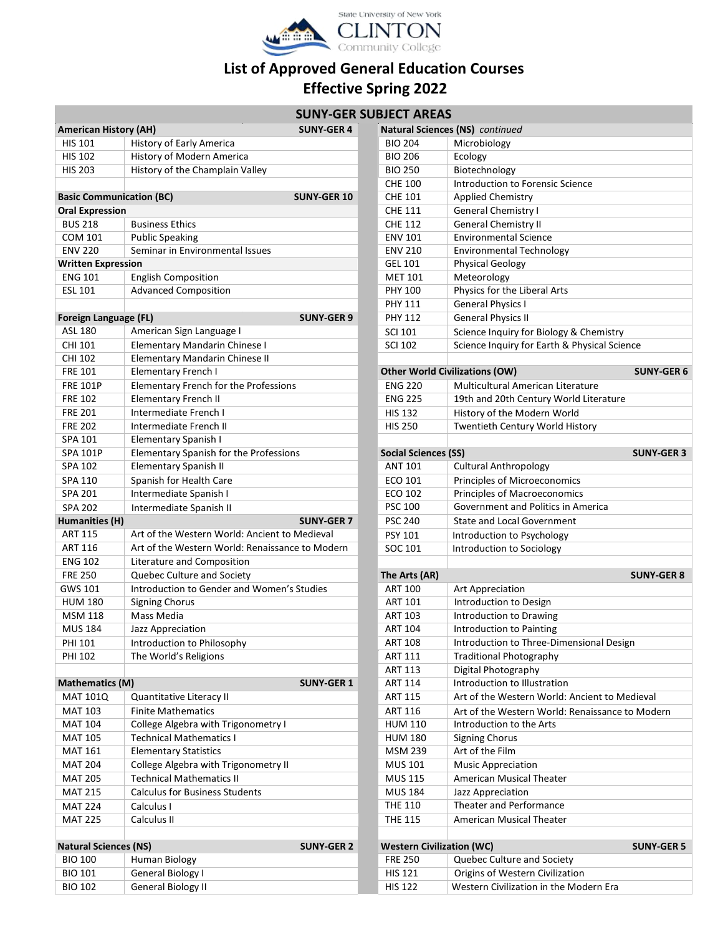

## **List of Approved General Education Courses Effective Spring 2022**

# **SUNY-GER SU**

|                                 |                                                 | SUNY-GEK SUBJECI AKEAS           |                                                      |
|---------------------------------|-------------------------------------------------|----------------------------------|------------------------------------------------------|
| <b>American History (AH)</b>    | <b>SUNY-GER 4</b>                               |                                  | Natural Sciences (NS) continued                      |
| <b>HIS 101</b>                  | History of Early America                        | <b>BIO 204</b>                   | Microbiology                                         |
| <b>HIS 102</b>                  | History of Modern America                       | <b>BIO 206</b>                   | Ecology                                              |
| <b>HIS 203</b>                  | History of the Champlain Valley                 | <b>BIO 250</b>                   | Biotechnology                                        |
|                                 |                                                 | <b>CHE 100</b>                   | Introduction to Forensic Science                     |
| <b>Basic Communication (BC)</b> | <b>SUNY-GER 10</b>                              | <b>CHE 101</b>                   | Applied Chemistry                                    |
| <b>Oral Expression</b>          |                                                 | <b>CHE 111</b>                   | <b>General Chemistry I</b>                           |
| <b>BUS 218</b>                  | <b>Business Ethics</b>                          | <b>CHE 112</b>                   | <b>General Chemistry II</b>                          |
| <b>COM 101</b>                  | <b>Public Speaking</b>                          | <b>ENV 101</b>                   | <b>Environmental Science</b>                         |
| <b>ENV 220</b>                  | Seminar in Environmental Issues                 | <b>ENV 210</b>                   | Environmental Technology                             |
| <b>Written Expression</b>       |                                                 | <b>GEL 101</b>                   | <b>Physical Geology</b>                              |
| <b>ENG 101</b>                  | <b>English Composition</b>                      | <b>MET 101</b>                   | Meteorology                                          |
| <b>ESL 101</b>                  | <b>Advanced Composition</b>                     | <b>PHY 100</b>                   | Physics for the Liberal Arts                         |
|                                 |                                                 | <b>PHY 111</b>                   | <b>General Physics I</b>                             |
| Foreign Language (FL)           | <b>SUNY-GER 9</b>                               | <b>PHY 112</b>                   | <b>General Physics II</b>                            |
| ASL 180                         | American Sign Language I                        | <b>SCI 101</b>                   | Science Inquiry for Biology & Chemistry              |
| CHI 101                         | Elementary Mandarin Chinese I                   | <b>SCI 102</b>                   | Science Inquiry for Earth & Physical Science         |
| CHI 102                         | <b>Elementary Mandarin Chinese II</b>           |                                  |                                                      |
| <b>FRE 101</b>                  | Elementary French I                             |                                  | <b>Other World Civilizations (OW)</b><br><b>SUN'</b> |
| <b>FRE 101P</b>                 | Elementary French for the Professions           | <b>ENG 220</b>                   | Multicultural American Literature                    |
| <b>FRE 102</b>                  | <b>Elementary French II</b>                     | <b>ENG 225</b>                   | 19th and 20th Century World Literature               |
| <b>FRE 201</b>                  | Intermediate French I                           | <b>HIS 132</b>                   | History of the Modern World                          |
| <b>FRE 202</b>                  | Intermediate French II                          | <b>HIS 250</b>                   | Twentieth Century World History                      |
| <b>SPA 101</b>                  | <b>Elementary Spanish I</b>                     |                                  |                                                      |
| <b>SPA 101P</b>                 | Elementary Spanish for the Professions          | <b>Social Sciences (SS)</b>      | <b>SUNY</b>                                          |
| SPA 102                         | <b>Elementary Spanish II</b>                    | <b>ANT 101</b>                   | <b>Cultural Anthropology</b>                         |
| SPA 110                         | Spanish for Health Care                         | ECO 101                          | Principles of Microeconomics                         |
| SPA 201                         | Intermediate Spanish I                          | ECO 102                          | Principles of Macroeconomics                         |
| <b>SPA 202</b>                  | Intermediate Spanish II                         | <b>PSC 100</b>                   | Government and Politics in America                   |
| <b>Humanities (H)</b>           | <b>SUNY-GER 7</b>                               | <b>PSC 240</b>                   | <b>State and Local Government</b>                    |
| <b>ART 115</b>                  | Art of the Western World: Ancient to Medieval   | PSY 101                          | Introduction to Psychology                           |
| <b>ART 116</b>                  | Art of the Western World: Renaissance to Modern | SOC 101                          | Introduction to Sociology                            |
| <b>ENG 102</b>                  | Literature and Composition                      |                                  |                                                      |
| <b>FRE 250</b>                  | Quebec Culture and Society                      | The Arts (AR)                    | <b>SUNY</b>                                          |
| GWS 101                         | Introduction to Gender and Women's Studies      | <b>ART 100</b>                   | Art Appreciation                                     |
| <b>HUM 180</b>                  | <b>Signing Chorus</b>                           | <b>ART 101</b>                   | Introduction to Design                               |
| <b>MSM 118</b>                  | Mass Media                                      | <b>ART 103</b>                   | Introduction to Drawing                              |
| <b>MUS 184</b>                  | Jazz Appreciation                               | <b>ART 104</b>                   | Introduction to Painting                             |
| PHI 101                         | Introduction to Philosophy                      | <b>ART 108</b>                   | Introduction to Three-Dimensional Design             |
| PHI 102                         | The World's Religions                           | ART 111                          | <b>Traditional Photography</b>                       |
|                                 |                                                 | <b>ART 113</b>                   | Digital Photography                                  |
| <b>Mathematics (M)</b>          | <b>SUNY-GER 1</b>                               | <b>ART 114</b>                   | Introduction to Illustration                         |
| <b>MAT 101Q</b>                 | Quantitative Literacy II                        | <b>ART 115</b>                   | Art of the Western World: Ancient to Medieval        |
| <b>MAT 103</b>                  | <b>Finite Mathematics</b>                       | <b>ART 116</b>                   | Art of the Western World: Renaissance to Mod         |
| <b>MAT 104</b>                  | College Algebra with Trigonometry I             | <b>HUM 110</b>                   | Introduction to the Arts                             |
| <b>MAT 105</b>                  | <b>Technical Mathematics I</b>                  | <b>HUM 180</b>                   | <b>Signing Chorus</b>                                |
| <b>MAT 161</b>                  | <b>Elementary Statistics</b>                    | <b>MSM 239</b>                   | Art of the Film                                      |
| <b>MAT 204</b>                  | College Algebra with Trigonometry II            | MUS 101                          | <b>Music Appreciation</b>                            |
| <b>MAT 205</b>                  | <b>Technical Mathematics II</b>                 | <b>MUS 115</b>                   | American Musical Theater                             |
| <b>MAT 215</b>                  | <b>Calculus for Business Students</b>           | <b>MUS 184</b>                   | Jazz Appreciation                                    |
| <b>MAT 224</b>                  | Calculus I                                      | <b>THE 110</b>                   | Theater and Performance                              |
| <b>MAT 225</b>                  | Calculus II                                     | <b>THE 115</b>                   | American Musical Theater                             |
|                                 |                                                 |                                  |                                                      |
| <b>Natural Sciences (NS)</b>    | <b>SUNY-GER 2</b>                               | <b>Western Civilization (WC)</b> | <b>SUNY</b>                                          |
| <b>BIO 100</b>                  | Human Biology                                   | <b>FRE 250</b>                   | Quebec Culture and Society                           |
| <b>BIO 101</b>                  | General Biology I                               | <b>HIS 121</b>                   | Origins of Western Civilization                      |
|                                 |                                                 |                                  |                                                      |

|                                 |                                                 | <b>SUNY-GER SUBJECT AREAS</b>    |                                                            |
|---------------------------------|-------------------------------------------------|----------------------------------|------------------------------------------------------------|
| <b>American History (AH)</b>    | <b>SUNY-GER 4</b>                               |                                  | Natural Sciences (NS) continued                            |
| <b>HIS 101</b>                  | History of Early America                        | <b>BIO 204</b>                   | Microbiology                                               |
| <b>HIS 102</b>                  | History of Modern America                       | <b>BIO 206</b>                   | Ecology                                                    |
| <b>HIS 203</b>                  | History of the Champlain Valley                 | <b>BIO 250</b>                   | Biotechnology                                              |
|                                 |                                                 | <b>CHE 100</b>                   | Introduction to Forensic Science                           |
| <b>Basic Communication (BC)</b> | <b>SUNY-GER 10</b>                              | <b>CHE 101</b>                   | <b>Applied Chemistry</b>                                   |
| <b>Oral Expression</b>          |                                                 | <b>CHE 111</b>                   | <b>General Chemistry I</b>                                 |
| <b>BUS 218</b>                  | <b>Business Ethics</b>                          | <b>CHE 112</b>                   | <b>General Chemistry II</b>                                |
| <b>COM 101</b>                  | <b>Public Speaking</b>                          | <b>ENV 101</b>                   | <b>Environmental Science</b>                               |
| <b>ENV 220</b>                  | Seminar in Environmental Issues                 | <b>ENV 210</b>                   | <b>Environmental Technology</b>                            |
| <b>Written Expression</b>       |                                                 | <b>GEL 101</b>                   | <b>Physical Geology</b>                                    |
| <b>ENG 101</b>                  | <b>English Composition</b>                      | <b>MET 101</b>                   | Meteorology                                                |
| <b>ESL 101</b>                  | <b>Advanced Composition</b>                     | <b>PHY 100</b>                   | Physics for the Liberal Arts                               |
|                                 |                                                 | <b>PHY 111</b>                   | <b>General Physics I</b>                                   |
| Foreign Language (FL)           | <b>SUNY-GER 9</b>                               | <b>PHY 112</b>                   | <b>General Physics II</b>                                  |
| ASL 180                         | American Sign Language I                        | <b>SCI 101</b>                   | Science Inquiry for Biology & Chemistry                    |
| <b>CHI 101</b>                  | Elementary Mandarin Chinese I                   | <b>SCI 102</b>                   | Science Inquiry for Earth & Physical Science               |
| <b>CHI 102</b>                  | Elementary Mandarin Chinese II                  |                                  |                                                            |
| <b>FRE 101</b>                  | <b>Elementary French I</b>                      |                                  | <b>Other World Civilizations (OW)</b><br><b>SUNY-GER 6</b> |
| <b>FRE 101P</b>                 | Elementary French for the Professions           | <b>ENG 220</b>                   | Multicultural American Literature                          |
| <b>FRE 102</b>                  | <b>Elementary French II</b>                     | <b>ENG 225</b>                   | 19th and 20th Century World Literature                     |
| <b>FRE 201</b>                  | Intermediate French I                           | <b>HIS 132</b>                   | History of the Modern World                                |
| <b>FRE 202</b>                  | Intermediate French II                          | <b>HIS 250</b>                   |                                                            |
| SPA 101                         |                                                 |                                  | Twentieth Century World History                            |
|                                 | <b>Elementary Spanish I</b>                     |                                  |                                                            |
| <b>SPA 101P</b><br>SPA 102      | Elementary Spanish for the Professions          | <b>Social Sciences (SS)</b>      | <b>SUNY-GER 3</b>                                          |
|                                 | <b>Elementary Spanish II</b>                    | <b>ANT 101</b>                   | <b>Cultural Anthropology</b>                               |
| SPA 110                         | Spanish for Health Care                         | ECO 101                          | Principles of Microeconomics                               |
| SPA 201                         | Intermediate Spanish I                          | ECO 102                          | Principles of Macroeconomics                               |
| <b>SPA 202</b>                  | Intermediate Spanish II                         | <b>PSC 100</b>                   | Government and Politics in America                         |
| Humanities (H)                  | <b>SUNY-GER 7</b>                               | <b>PSC 240</b>                   | <b>State and Local Government</b>                          |
| <b>ART 115</b>                  | Art of the Western World: Ancient to Medieval   | <b>PSY 101</b>                   | Introduction to Psychology                                 |
| <b>ART 116</b>                  | Art of the Western World: Renaissance to Modern | SOC 101                          | Introduction to Sociology                                  |
| <b>ENG 102</b>                  | Literature and Composition                      |                                  |                                                            |
| <b>FRE 250</b>                  | Quebec Culture and Society                      | The Arts (AR)                    | <b>SUNY-GER 8</b>                                          |
| <b>GWS 101</b>                  | Introduction to Gender and Women's Studies      | <b>ART 100</b>                   | Art Appreciation                                           |
| <b>HUM 180</b>                  | <b>Signing Chorus</b>                           | <b>ART 101</b>                   | Introduction to Design                                     |
| <b>MSM 118</b>                  | Mass Media                                      | <b>ART 103</b>                   | Introduction to Drawing                                    |
| <b>MUS 184</b>                  | Jazz Appreciation                               | <b>ART 104</b>                   | Introduction to Painting                                   |
| PHI 101                         | Introduction to Philosophy                      | ART 108                          | Introduction to Three-Dimensional Design                   |
| <b>PHI 102</b>                  | The World's Religions                           | ART 111                          | <b>Traditional Photography</b>                             |
|                                 |                                                 | <b>ART 113</b>                   | Digital Photography                                        |
| <b>Mathematics (M)</b>          | <b>SUNY-GER 1</b>                               | ART 114                          | Introduction to Illustration                               |
| <b>MAT 101Q</b>                 | Quantitative Literacy II                        | <b>ART 115</b>                   | Art of the Western World: Ancient to Medieval              |
| <b>MAT 103</b>                  | <b>Finite Mathematics</b>                       | ART 116                          | Art of the Western World: Renaissance to Modern            |
| <b>MAT 104</b>                  | College Algebra with Trigonometry I             | <b>HUM 110</b>                   | Introduction to the Arts                                   |
| <b>MAT 105</b>                  | <b>Technical Mathematics I</b>                  | <b>HUM 180</b>                   | <b>Signing Chorus</b>                                      |
| <b>MAT 161</b>                  | <b>Elementary Statistics</b>                    | <b>MSM 239</b>                   | Art of the Film                                            |
| <b>MAT 204</b>                  | College Algebra with Trigonometry II            | <b>MUS 101</b>                   | <b>Music Appreciation</b>                                  |
| <b>MAT 205</b>                  | <b>Technical Mathematics II</b>                 | <b>MUS 115</b>                   | American Musical Theater                                   |
| <b>MAT 215</b>                  | <b>Calculus for Business Students</b>           | <b>MUS 184</b>                   | Jazz Appreciation                                          |
| <b>MAT 224</b>                  | Calculus I                                      | <b>THE 110</b>                   | Theater and Performance                                    |
| <b>MAT 225</b>                  | Calculus II                                     | <b>THE 115</b>                   | American Musical Theater                                   |
|                                 |                                                 |                                  |                                                            |
| <b>Natural Sciences (NS)</b>    | <b>SUNY-GER 2</b>                               | <b>Western Civilization (WC)</b> | <b>SUNY-GER 5</b>                                          |
| <b>BIO 100</b>                  | <b>Human Biology</b>                            | <b>FRE 250</b>                   | Quebec Culture and Society                                 |
| <b>BIO 101</b>                  | General Biology I                               | <b>HIS 121</b>                   | Origins of Western Civilization                            |
| <b>BIO 102</b>                  | <b>General Biology II</b>                       | <b>HIS 122</b>                   | Western Civilization in the Modern Era                     |
|                                 |                                                 |                                  |                                                            |